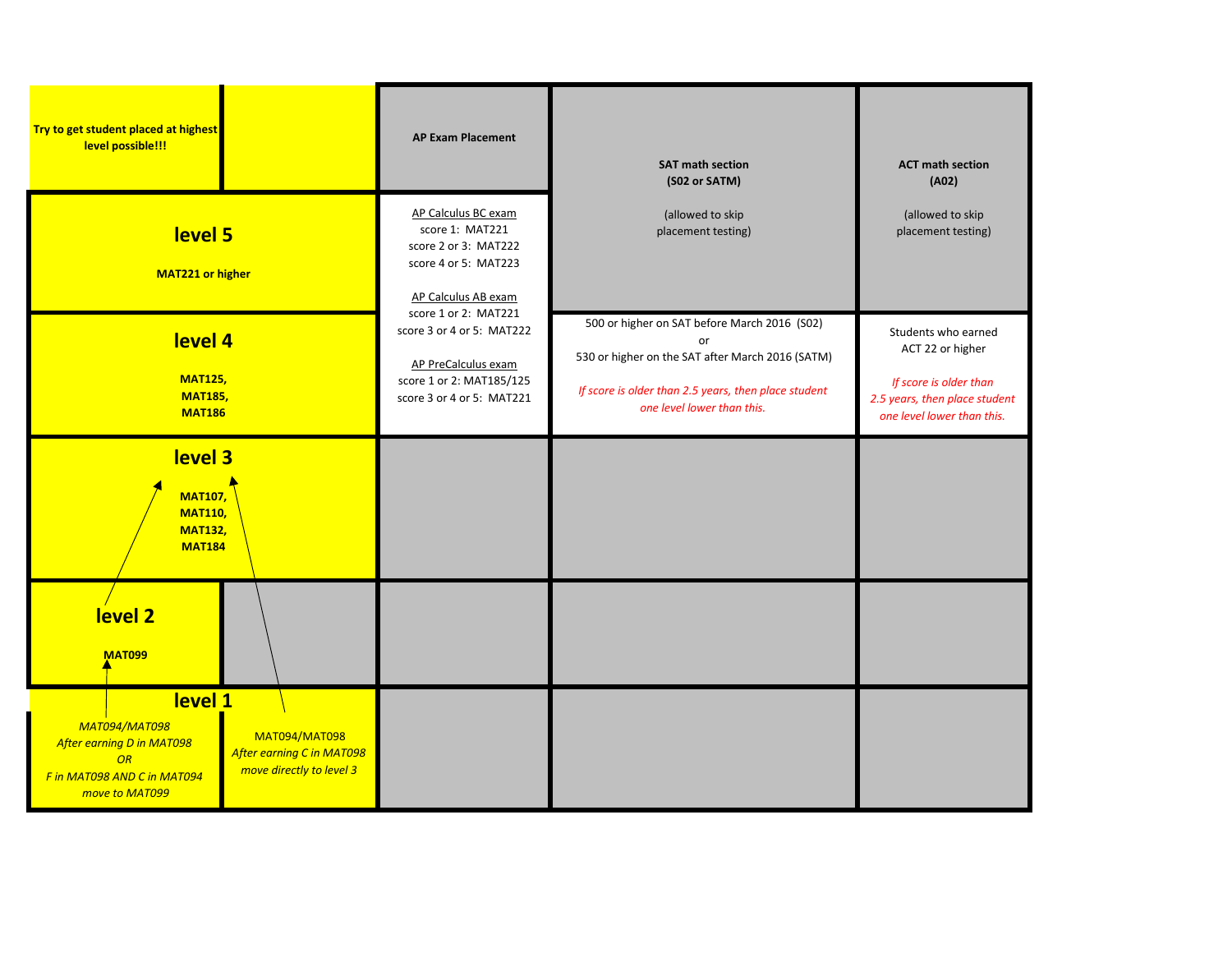| Try to get student placed at highest<br>level possible!!!                                                    |                                                                                      | <b>AP Exam Placement</b>                                                                                                          | <b>SAT math section</b><br>(S02 or SATM)                                                                                                                                                     | <b>ACT math section</b><br>(A02)                                                                                                 |
|--------------------------------------------------------------------------------------------------------------|--------------------------------------------------------------------------------------|-----------------------------------------------------------------------------------------------------------------------------------|----------------------------------------------------------------------------------------------------------------------------------------------------------------------------------------------|----------------------------------------------------------------------------------------------------------------------------------|
| level 5<br><b>MAT221 or higher</b>                                                                           |                                                                                      | AP Calculus BC exam<br>score 1: MAT221<br>score 2 or 3: MAT222<br>score 4 or 5: MAT223<br>AP Calculus AB exam                     | (allowed to skip<br>placement testing)                                                                                                                                                       | (allowed to skip<br>placement testing)                                                                                           |
| level 4<br><b>MAT125,</b><br><b>MAT185,</b><br><b>MAT186</b>                                                 |                                                                                      | score 1 or 2: MAT221<br>score 3 or 4 or 5: MAT222<br>AP PreCalculus exam<br>score 1 or 2: MAT185/125<br>score 3 or 4 or 5: MAT221 | 500 or higher on SAT before March 2016 (S02)<br>or<br>530 or higher on the SAT after March 2016 (SATM)<br>If score is older than 2.5 years, then place student<br>one level lower than this. | Students who earned<br>ACT 22 or higher<br>If score is older than<br>2.5 years, then place student<br>one level lower than this. |
| level 3<br><b>MAT107,</b><br><b>MAT110,</b><br><b>MAT132,</b><br><b>MAT184</b>                               |                                                                                      |                                                                                                                                   |                                                                                                                                                                                              |                                                                                                                                  |
| level 2<br><b>MAT099</b>                                                                                     |                                                                                      |                                                                                                                                   |                                                                                                                                                                                              |                                                                                                                                  |
| level 1<br>MAT094/MAT098<br>After earning D in MAT098<br>OR<br>F in MAT098 AND C in MAT094<br>move to MAT099 | <b>MAT094/MAT098</b><br><b>After earning C in MAT098</b><br>move directly to level 3 |                                                                                                                                   |                                                                                                                                                                                              |                                                                                                                                  |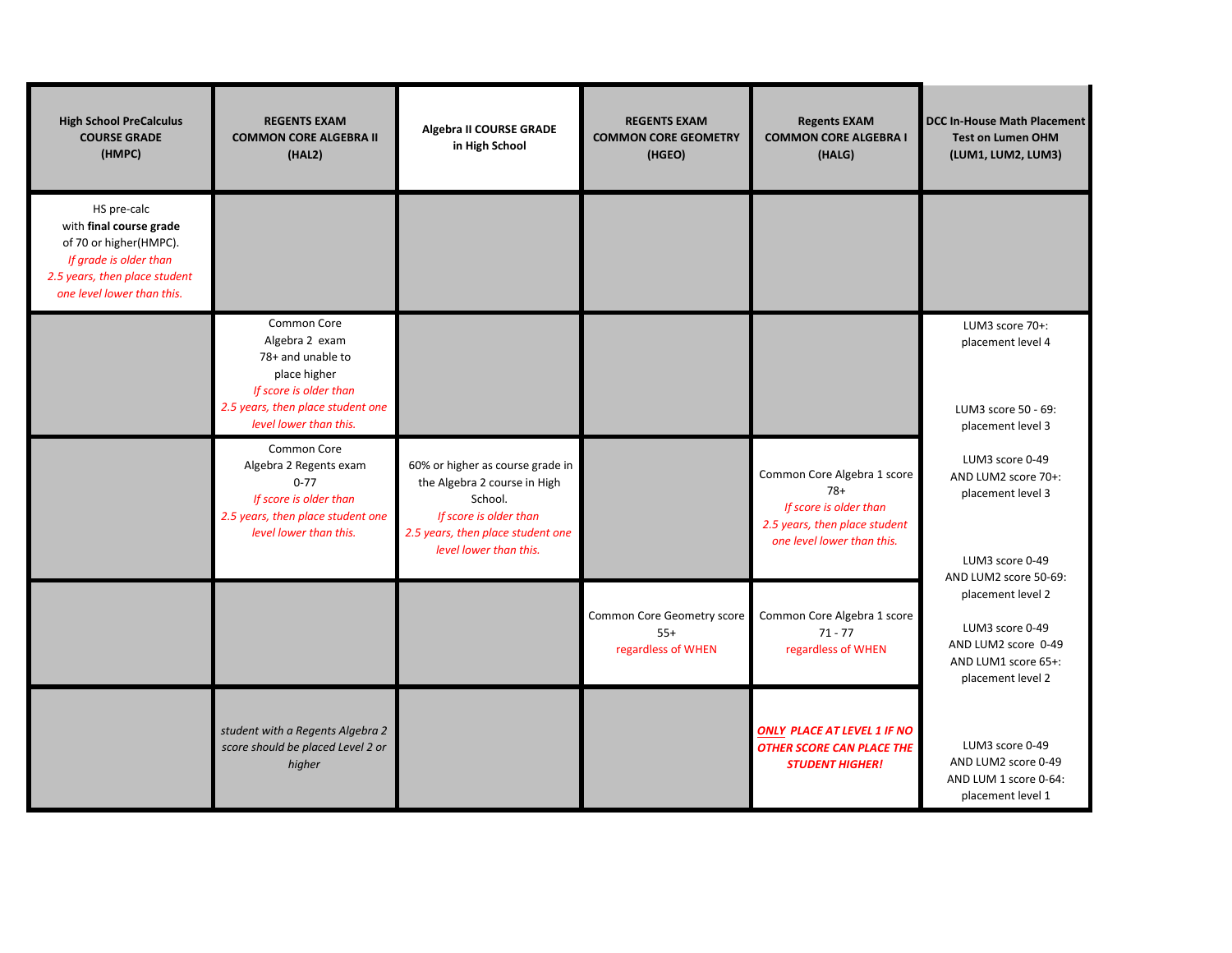| <b>High School PreCalculus</b><br><b>COURSE GRADE</b><br>(HMPC)                                                                                           | <b>REGENTS EXAM</b><br><b>COMMON CORE ALGEBRA II</b><br>(HAL2)                                                                                              | Algebra II COURSE GRADE<br>in High School                                                                                                                            | <b>REGENTS EXAM</b><br><b>COMMON CORE GEOMETRY</b><br>(HGEO) | <b>Regents EXAM</b><br><b>COMMON CORE ALGEBRA I</b><br>(HALG)                                                                 | <b>DCC In-House Math Placement</b><br><b>Test on Lumen OHM</b><br>(LUM1, LUM2, LUM3)                    |
|-----------------------------------------------------------------------------------------------------------------------------------------------------------|-------------------------------------------------------------------------------------------------------------------------------------------------------------|----------------------------------------------------------------------------------------------------------------------------------------------------------------------|--------------------------------------------------------------|-------------------------------------------------------------------------------------------------------------------------------|---------------------------------------------------------------------------------------------------------|
| HS pre-calc<br>with final course grade<br>of 70 or higher(HMPC).<br>If grade is older than<br>2.5 years, then place student<br>one level lower than this. |                                                                                                                                                             |                                                                                                                                                                      |                                                              |                                                                                                                               |                                                                                                         |
|                                                                                                                                                           | Common Core<br>Algebra 2 exam<br>78+ and unable to<br>place higher<br>If score is older than<br>2.5 years, then place student one<br>level lower than this. |                                                                                                                                                                      |                                                              |                                                                                                                               | LUM3 score 70+:<br>placement level 4<br>LUM3 score 50 - 69:<br>placement level 3                        |
|                                                                                                                                                           | Common Core<br>Algebra 2 Regents exam<br>$0 - 77$<br>If score is older than<br>2.5 years, then place student one<br>level lower than this.                  | 60% or higher as course grade in<br>the Algebra 2 course in High<br>School.<br>If score is older than<br>2.5 years, then place student one<br>level lower than this. |                                                              | Common Core Algebra 1 score<br>$78+$<br>If score is older than<br>2.5 years, then place student<br>one level lower than this. | LUM3 score 0-49<br>AND LUM2 score 70+:<br>placement level 3<br>LUM3 score 0-49<br>AND LUM2 score 50-69: |
|                                                                                                                                                           |                                                                                                                                                             |                                                                                                                                                                      | Common Core Geometry score<br>$55+$<br>regardless of WHEN    | Common Core Algebra 1 score<br>$71 - 77$<br>regardless of WHEN                                                                | placement level 2<br>LUM3 score 0-49<br>AND LUM2 score 0-49<br>AND LUM1 score 65+:<br>placement level 2 |
|                                                                                                                                                           | student with a Regents Algebra 2<br>score should be placed Level 2 or<br>higher                                                                             |                                                                                                                                                                      |                                                              | <b>ONLY PLACE AT LEVEL 1 IF NO</b><br><b>OTHER SCORE CAN PLACE THE</b><br><b>STUDENT HIGHER!</b>                              | LUM3 score 0-49<br>AND LUM2 score 0-49<br>AND LUM 1 score 0-64:<br>placement level 1                    |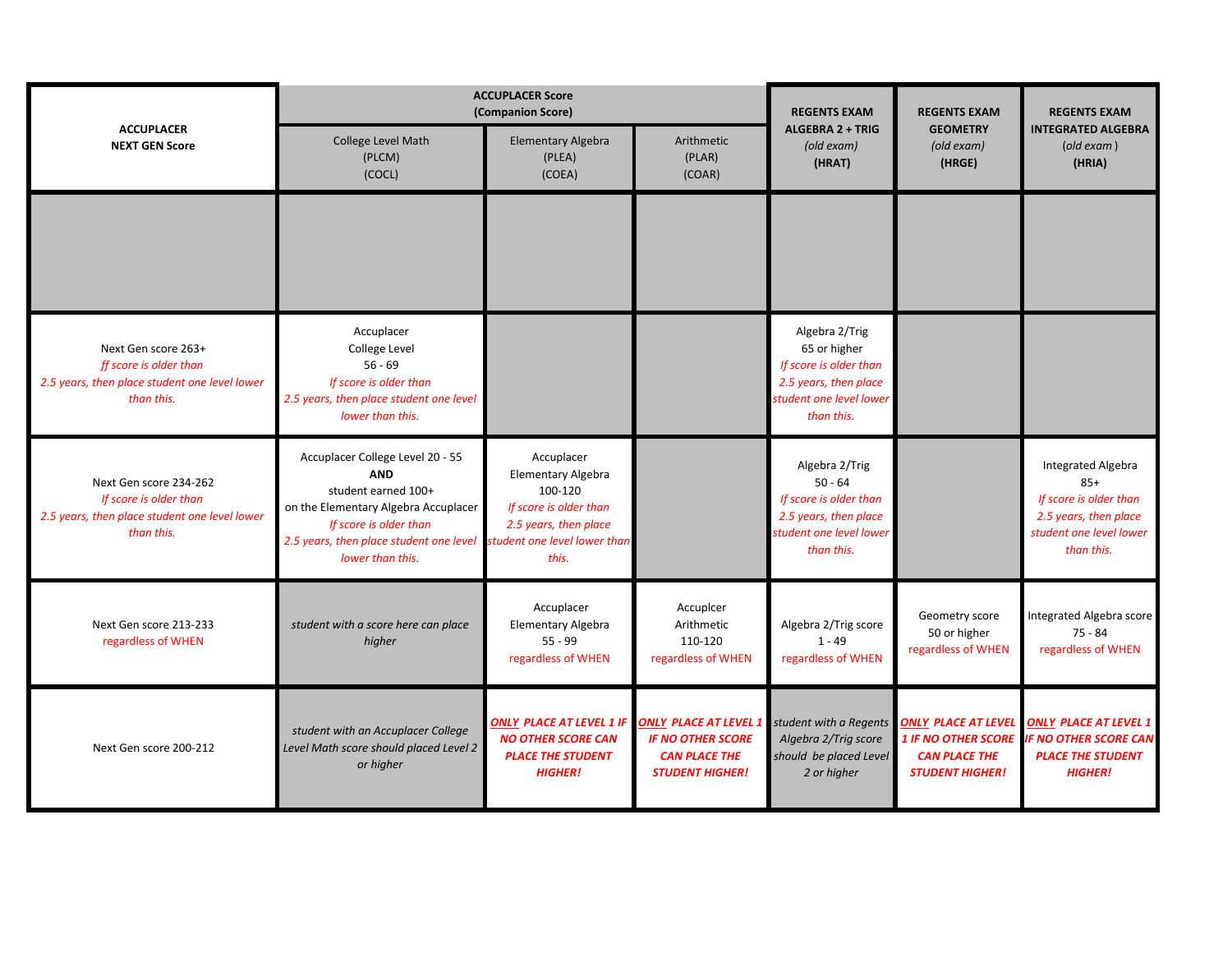|                                                                                                                 |                                                                                                                                                                                                                                     | <b>ACCUPLACER Score</b><br>(Companion Score)                                                                   | <b>REGENTS EXAM</b><br><b>REGENTS EXAM</b>                                                                   |                                                                                                                            |                                                                                                            | <b>REGENTS EXAM</b>                                                                                                     |
|-----------------------------------------------------------------------------------------------------------------|-------------------------------------------------------------------------------------------------------------------------------------------------------------------------------------------------------------------------------------|----------------------------------------------------------------------------------------------------------------|--------------------------------------------------------------------------------------------------------------|----------------------------------------------------------------------------------------------------------------------------|------------------------------------------------------------------------------------------------------------|-------------------------------------------------------------------------------------------------------------------------|
| <b>ACCUPLACER</b><br><b>NEXT GEN Score</b>                                                                      | College Level Math<br>(PLCM)<br>(COCL)                                                                                                                                                                                              | Elementary Algebra<br>(PLEA)<br>(COEA)                                                                         | Arithmetic<br>(PLAR)<br>(COAR)                                                                               | ALGEBRA 2 + TRIG<br>(old exam)<br>(HRAT)                                                                                   | <b>GEOMETRY</b><br>(old exam)<br>(HRGE)                                                                    | <b>INTEGRATED ALGEBRA</b><br>$\left($ old exam $\right)$<br>(HRIA)                                                      |
|                                                                                                                 |                                                                                                                                                                                                                                     |                                                                                                                |                                                                                                              |                                                                                                                            |                                                                                                            |                                                                                                                         |
| Next Gen score 263+<br>ff score is older than<br>2.5 years, then place student one level lower<br>than this.    | Accuplacer<br>College Level<br>$56 - 69$<br>If score is older than<br>2.5 years, then place student one level<br>lower than this.                                                                                                   |                                                                                                                |                                                                                                              | Algebra 2/Trig<br>65 or higher<br>If score is older than<br>2.5 years, then place<br>student one level lower<br>than this. |                                                                                                            |                                                                                                                         |
| Next Gen score 234-262<br>If score is older than<br>2.5 years, then place student one level lower<br>than this. | Accuplacer College Level 20 - 55<br><b>AND</b><br>student earned 100+<br>on the Elementary Algebra Accuplacer<br>If score is older than<br>2.5 years, then place student one level student one level lower than<br>lower than this. | Accuplacer<br><b>Elementary Algebra</b><br>100-120<br>If score is older than<br>2.5 years, then place<br>this. |                                                                                                              | Algebra 2/Trig<br>$50 - 64$<br>If score is older than<br>2.5 years, then place<br>student one level lower<br>than this.    |                                                                                                            | Integrated Algebra<br>$85+$<br>If score is older than<br>2.5 years, then place<br>student one level lower<br>than this. |
| Next Gen score 213-233<br>regardless of WHEN                                                                    | student with a score here can place<br>higher                                                                                                                                                                                       | Accuplacer<br>Elementary Algebra<br>$55 - 99$<br>regardless of WHEN                                            | Accupicer<br>Arithmetic<br>110-120<br>regardless of WHEN                                                     | Algebra 2/Trig score<br>$1 - 49$<br>regardless of WHEN                                                                     | Geometry score<br>50 or higher<br>regardless of WHEN                                                       | Integrated Algebra score<br>$75 - 84$<br>regardless of WHEN                                                             |
| Next Gen score 200-212                                                                                          | student with an Accuplacer College<br>Level Math score should placed Level 2<br>or higher                                                                                                                                           | <b>ONLY PLACE AT LEVEL 1 IF</b><br><b>NO OTHER SCORE CAN</b><br><b>PLACE THE STUDENT</b><br><b>HIGHER!</b>     | ONLY PLACE AT LEVEL 1 <b>H</b><br><b>IF NO OTHER SCORE</b><br><b>CAN PLACE THE</b><br><b>STUDENT HIGHER!</b> | student with a Regents<br>Algebra 2/Trig score<br>should be placed Level<br>2 or higher                                    | <b>ONLY PLACE AT LEVEL</b><br><b>1 IF NO OTHER SCORE</b><br><b>CAN PLACE THE</b><br><b>STUDENT HIGHER!</b> | <b>ONLY PLACE AT LEVEL 1</b><br><b>IF NO OTHER SCORE CAN</b><br><b>PLACE THE STUDENT</b><br><b>HIGHER!</b>              |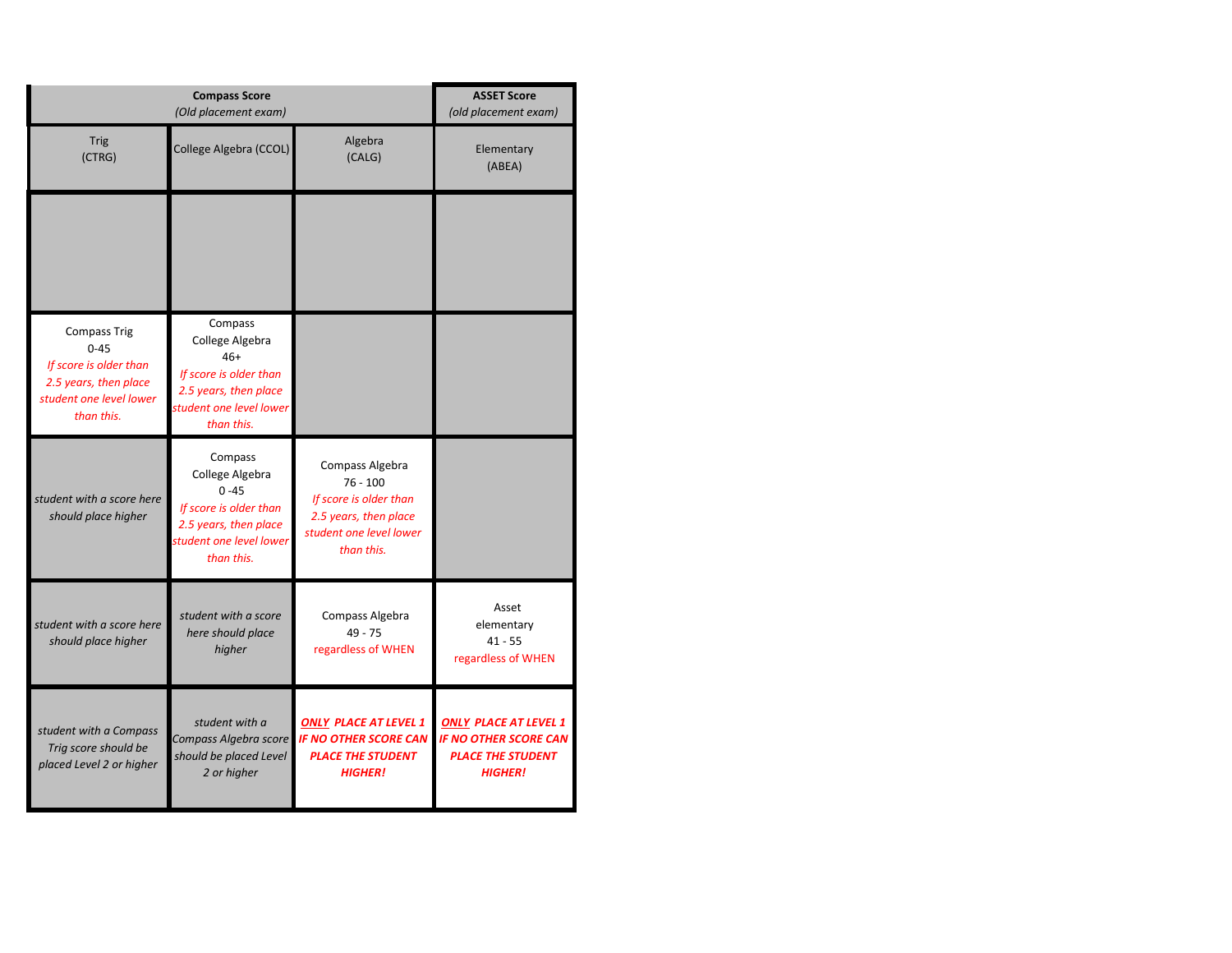|                                                                                                                             |                                                                                                                                    | <b>ASSET Score</b><br>(old placement exam)                                                                                |                                                                                                            |
|-----------------------------------------------------------------------------------------------------------------------------|------------------------------------------------------------------------------------------------------------------------------------|---------------------------------------------------------------------------------------------------------------------------|------------------------------------------------------------------------------------------------------------|
| <b>Trig</b><br>(CTRG)                                                                                                       | College Algebra (CCOL)                                                                                                             | Algebra<br>(CALG)                                                                                                         | Elementary<br>(ABEA)                                                                                       |
|                                                                                                                             |                                                                                                                                    |                                                                                                                           |                                                                                                            |
| <b>Compass Trig</b><br>$0 - 45$<br>If score is older than<br>2.5 years, then place<br>student one level lower<br>than this. | Compass<br>College Algebra<br>$46+$<br>If score is older than<br>2.5 years, then place<br>student one level lower<br>than this.    |                                                                                                                           |                                                                                                            |
| student with a score here<br>should place higher                                                                            | Compass<br>College Algebra<br>$0 - 45$<br>If score is older than<br>2.5 years, then place<br>student one level lower<br>than this. | Compass Algebra<br>$76 - 100$<br>If score is older than<br>2.5 years, then place<br>student one level lower<br>than this. |                                                                                                            |
| student with a score here<br>should place higher                                                                            | student with a score<br>here should place<br>higher                                                                                | Compass Algebra<br>$49 - 75$<br>regardless of WHEN                                                                        | Asset<br>elementary<br>$41 - 55$<br>regardless of WHEN                                                     |
| student with a Compass<br>Trig score should be<br>placed Level 2 or higher                                                  | student with a<br>Compass Algebra score<br>should be placed Level<br>2 or higher                                                   | <b>ONLY PLACE AT LEVEL 1</b><br><b>IF NO OTHER SCORE CAN</b><br><b>PLACE THE STUDENT</b><br><b>HIGHER!</b>                | <b>ONLY PLACE AT LEVEL 1</b><br><b>IF NO OTHER SCORE CAN</b><br><b>PLACE THE STUDENT</b><br><b>HIGHER!</b> |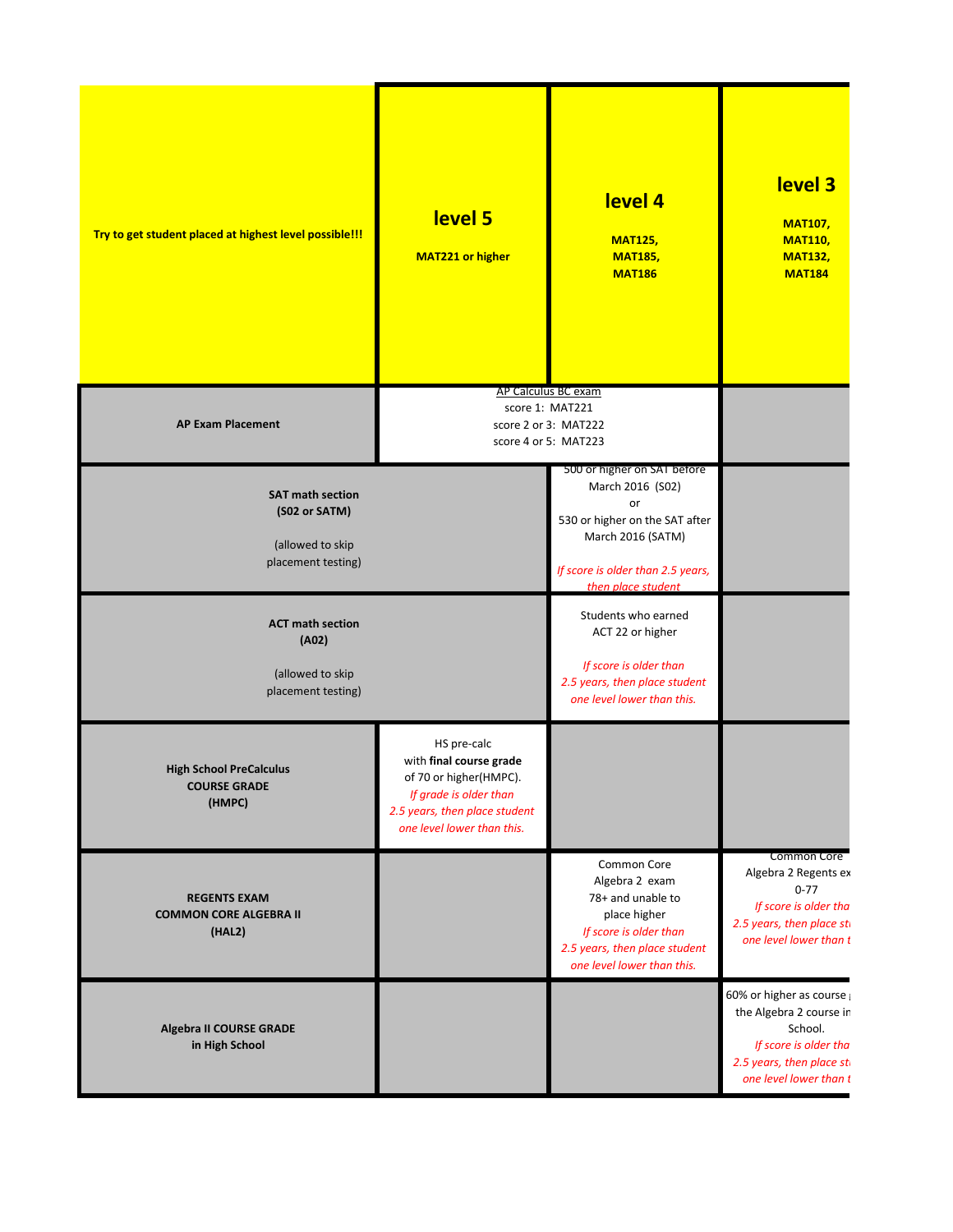| Try to get student placed at highest level possible!!!                             | level 5<br><b>MAT221 or higher</b>                                                                                                                        | level 4<br><b>MAT125,</b><br><b>MAT185,</b><br><b>MAT186</b>                                                                                                            | level 3<br><b>MAT107,</b><br><b>MAT110,</b><br><b>MAT132,</b><br><b>MAT184</b>                                                                |
|------------------------------------------------------------------------------------|-----------------------------------------------------------------------------------------------------------------------------------------------------------|-------------------------------------------------------------------------------------------------------------------------------------------------------------------------|-----------------------------------------------------------------------------------------------------------------------------------------------|
| <b>AP Exam Placement</b>                                                           | AP Calculus BC exam                                                                                                                                       | score 1: MAT221<br>score 2 or 3: MAT222<br>score 4 or 5: MAT223                                                                                                         |                                                                                                                                               |
| <b>SAT math section</b><br>(S02 or SATM)<br>(allowed to skip<br>placement testing) |                                                                                                                                                           | 500 or higher on SAT before<br>March 2016 (S02)<br>or<br>530 or higher on the SAT after<br>March 2016 (SATM)<br>If score is older than 2.5 years,<br>then place student |                                                                                                                                               |
| <b>ACT math section</b><br>(A02)<br>(allowed to skip<br>placement testing)         |                                                                                                                                                           | Students who earned<br>ACT 22 or higher<br>If score is older than<br>2.5 years, then place student<br>one level lower than this.                                        |                                                                                                                                               |
| <b>High School PreCalculus</b><br><b>COURSE GRADE</b><br>(HMPC)                    | HS pre-calc<br>with final course grade<br>of 70 or higher(HMPC).<br>If grade is older than<br>2.5 years, then place student<br>one level lower than this. |                                                                                                                                                                         |                                                                                                                                               |
| <b>REGENTS EXAM</b><br><b>COMMON CORE ALGEBRA II</b><br>(HAL2)                     |                                                                                                                                                           | Common Core<br>Algebra 2 exam<br>78+ and unable to<br>place higher<br>If score is older than<br>2.5 years, then place student<br>one level lower than this.             | Common Core<br>Algebra 2 Regents ex<br>$0 - 77$<br>If score is older tha<br>2.5 years, then place sti<br>one level lower than t               |
| Algebra II COURSE GRADE<br>in High School                                          |                                                                                                                                                           |                                                                                                                                                                         | 60% or higher as course<br>the Algebra 2 course in<br>School.<br>If score is older tha<br>2.5 years, then place sti<br>one level lower than t |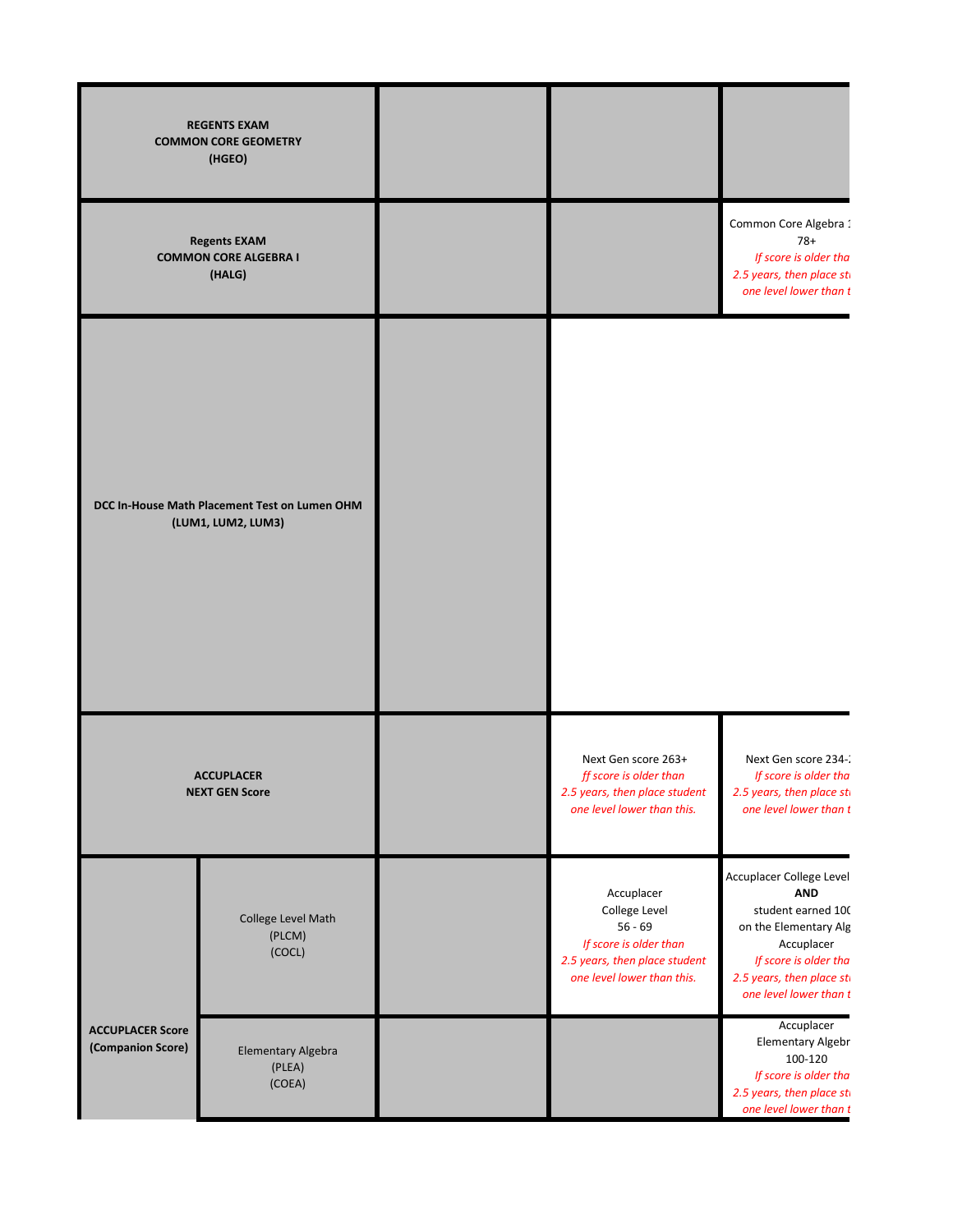|                                              | <b>REGENTS EXAM</b><br><b>COMMON CORE GEOMETRY</b><br>(HGEO)        |                                                                                                                                   |                                                                                                                                                                                     |
|----------------------------------------------|---------------------------------------------------------------------|-----------------------------------------------------------------------------------------------------------------------------------|-------------------------------------------------------------------------------------------------------------------------------------------------------------------------------------|
|                                              | <b>Regents EXAM</b><br><b>COMMON CORE ALGEBRA I</b><br>(HALG)       |                                                                                                                                   | Common Core Algebra 1<br>$78+$<br>If score is older tha<br>2.5 years, then place sti<br>one level lower than t                                                                      |
|                                              | DCC In-House Math Placement Test on Lumen OHM<br>(LUM1, LUM2, LUM3) |                                                                                                                                   |                                                                                                                                                                                     |
| <b>ACCUPLACER</b><br><b>NEXT GEN Score</b>   |                                                                     | Next Gen score 263+<br>ff score is older than<br>2.5 years, then place student<br>one level lower than this.                      | Next Gen score 234-:<br>If score is older tha<br>2.5 years, then place sti<br>one level lower than t                                                                                |
|                                              | College Level Math<br>(PLCM)<br>(COCL)                              | Accuplacer<br>College Level<br>$56 - 69$<br>If score is older than<br>2.5 years, then place student<br>one level lower than this. | Accuplacer College Level<br><b>AND</b><br>student earned 100<br>on the Elementary Alg<br>Accuplacer<br>If score is older tha<br>2.5 years, then place sti<br>one level lower than t |
| <b>ACCUPLACER Score</b><br>(Companion Score) | Elementary Algebra<br>(PLEA)<br>(COEA)                              |                                                                                                                                   | Accuplacer<br>Elementary Algebr<br>100-120<br>If score is older tha<br>2.5 years, then place sti<br>one level lower than t                                                          |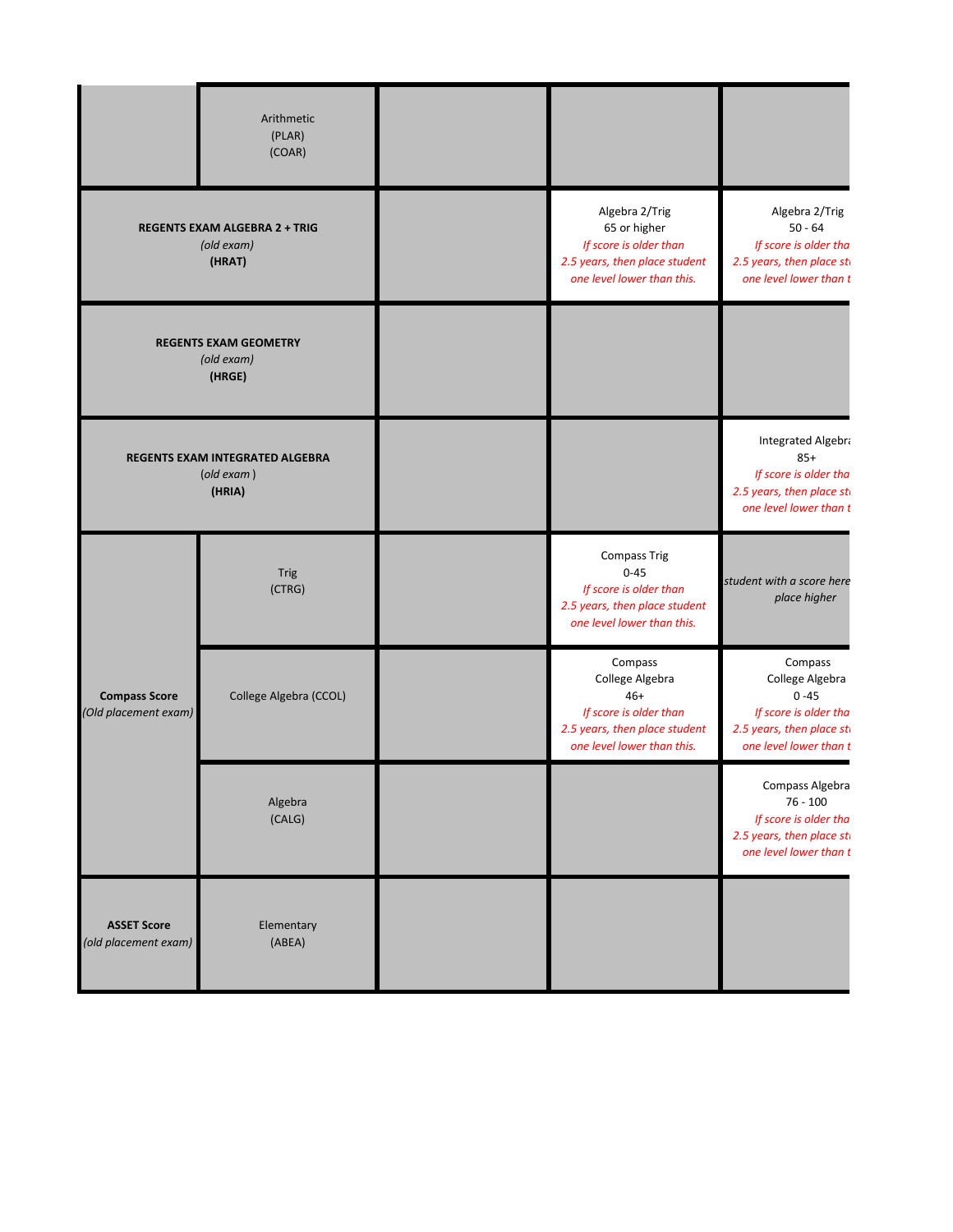|                                                              | Arithmetic<br>(PLAR)<br>(COAR)                                           |                                                                                                                              |                                                                                                                        |
|--------------------------------------------------------------|--------------------------------------------------------------------------|------------------------------------------------------------------------------------------------------------------------------|------------------------------------------------------------------------------------------------------------------------|
| <b>REGENTS EXAM ALGEBRA 2 + TRIG</b><br>(old exam)<br>(HRAT) |                                                                          | Algebra 2/Trig<br>65 or higher<br>If score is older than<br>2.5 years, then place student<br>one level lower than this.      | Algebra 2/Trig<br>$50 - 64$<br>If score is older tha<br>2.5 years, then place sti<br>one level lower than t            |
| <b>REGENTS EXAM GEOMETRY</b><br>(old exam)<br>(HRGE)         |                                                                          |                                                                                                                              |                                                                                                                        |
|                                                              | REGENTS EXAM INTEGRATED ALGEBRA<br>$\left($ old exam $\right)$<br>(HRIA) |                                                                                                                              | Integrated Algebra<br>$85+$<br>If score is older tha<br>2.5 years, then place sti<br>one level lower than t            |
|                                                              | <b>Trig</b><br>(CTRG)                                                    | <b>Compass Trig</b><br>$0 - 45$<br>If score is older than<br>2.5 years, then place student<br>one level lower than this.     | student with a score here<br>place higher                                                                              |
| <b>Compass Score</b><br>(Old placement exam)                 | College Algebra (CCOL)                                                   | Compass<br>College Algebra<br>$46+$<br>If score is older than<br>2.5 years, then place student<br>one level lower than this. | Compass<br>College Algebra<br>$0 - 45$<br>If score is older tha<br>2.5 years, then place sti<br>one level lower than t |
|                                                              | Algebra<br>(CALG)                                                        |                                                                                                                              | Compass Algebra<br>$76 - 100$<br>If score is older tha<br>2.5 years, then place sti<br>one level lower than t          |
| <b>ASSET Score</b><br>(old placement exam)                   | Elementary<br>(ABEA)                                                     |                                                                                                                              |                                                                                                                        |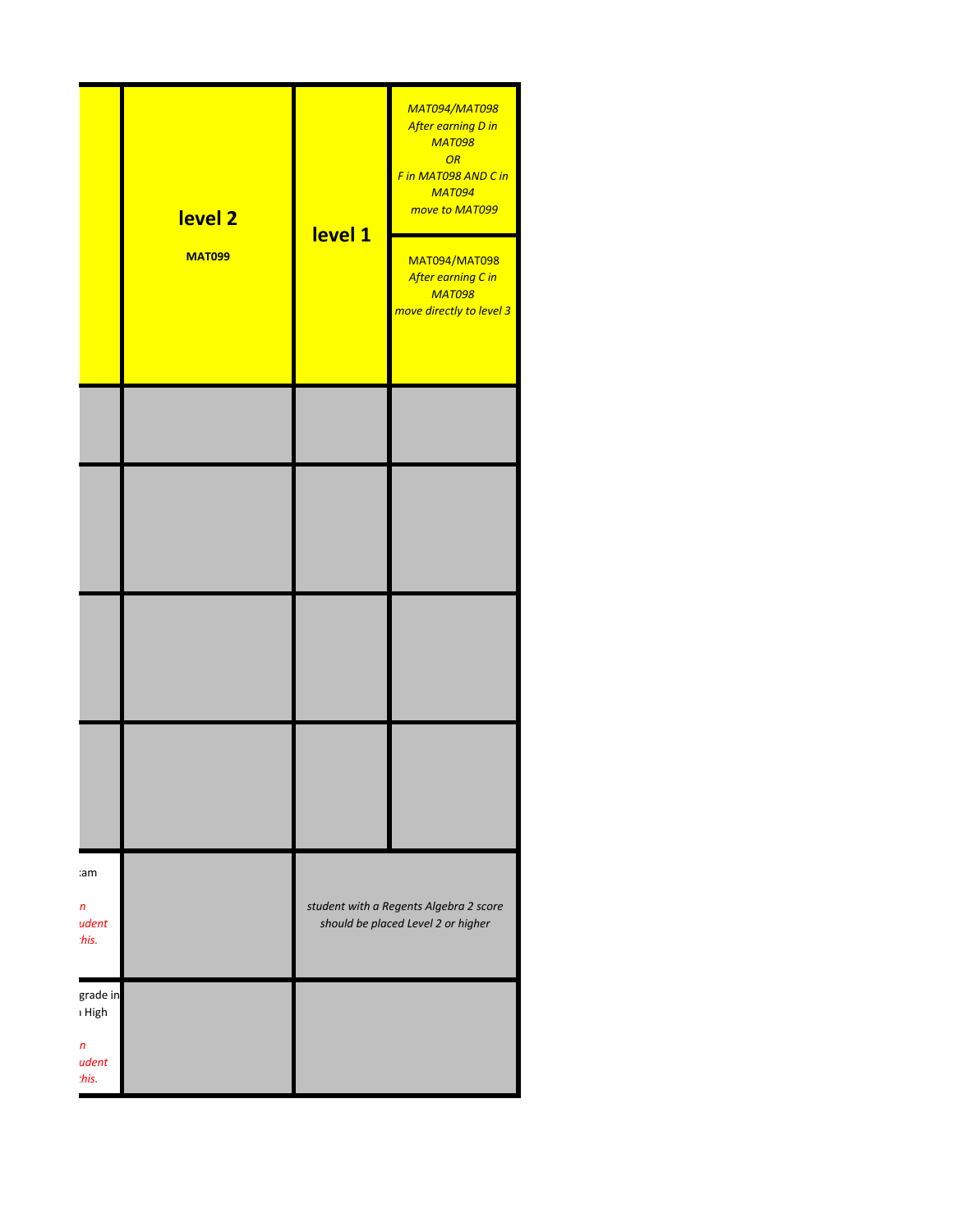|                                                          | level <sub>2</sub><br><b>MAT099</b> | level 1 | <b>MAT094/MAT098</b><br>After earning D in<br><b>MAT098</b><br>OR<br>F in MAT098 AND C in<br><b>MAT094</b><br>move to MAT099<br><b>MAT094/MAT098</b><br>After earning C in<br><b>MAT098</b><br>move directly to level 3 |
|----------------------------------------------------------|-------------------------------------|---------|-------------------------------------------------------------------------------------------------------------------------------------------------------------------------------------------------------------------------|
|                                                          |                                     |         |                                                                                                                                                                                                                         |
|                                                          |                                     |         |                                                                                                                                                                                                                         |
|                                                          |                                     |         |                                                                                                                                                                                                                         |
|                                                          |                                     |         |                                                                                                                                                                                                                         |
| cam<br>$\boldsymbol{n}$<br>udent<br>this.                |                                     |         | student with a Regents Algebra 2 score<br>should be placed Level 2 or higher                                                                                                                                            |
| grade in<br>ı High<br>$\boldsymbol{n}$<br>udent<br>this. |                                     |         |                                                                                                                                                                                                                         |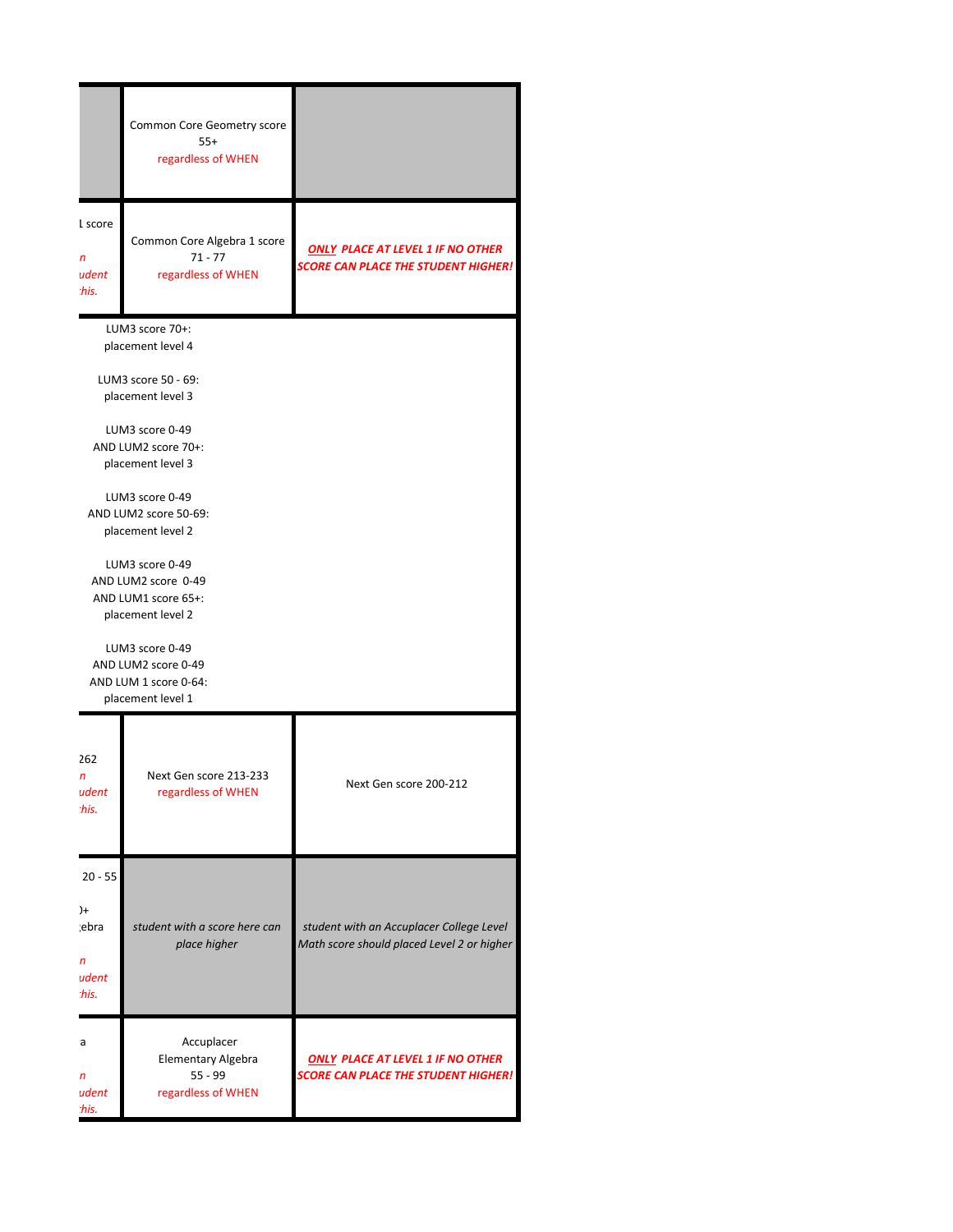|                                                                | Common Core Geometry score<br>$55+$<br>regardless of WHEN                                                                                                                                                                                                                                                                                                                 |                                                                                        |  |
|----------------------------------------------------------------|---------------------------------------------------------------------------------------------------------------------------------------------------------------------------------------------------------------------------------------------------------------------------------------------------------------------------------------------------------------------------|----------------------------------------------------------------------------------------|--|
| 1 score<br>n<br>udent<br>this.                                 | Common Core Algebra 1 score<br>$71 - 77$<br>regardless of WHEN                                                                                                                                                                                                                                                                                                            | <b>ONLY PLACE AT LEVEL 1 IF NO OTHER</b><br><b>SCORE CAN PLACE THE STUDENT HIGHER!</b> |  |
| placement level 1                                              | LUM3 score 70+:<br>placement level 4<br>LUM3 score 50 - 69:<br>placement level 3<br>LUM3 score 0-49<br>AND LUM2 score 70+:<br>placement level 3<br>LUM3 score 0-49<br>AND LUM2 score 50-69:<br>placement level 2<br>LUM3 score 0-49<br>AND LUM2 score 0-49<br>AND LUM1 score 65+:<br>placement level 2<br>LUM3 score 0-49<br>AND LUM2 score 0-49<br>AND LUM 1 score 0-64: |                                                                                        |  |
| 262<br>n<br>udent<br>this.                                     | Next Gen score 213-233<br>regardless of WHEN                                                                                                                                                                                                                                                                                                                              | Next Gen score 200-212                                                                 |  |
| $20 - 55$<br>$^{+}$<br>ebra;<br>$\mathsf{n}$<br>udent<br>this. | student with a score here can<br>place higher                                                                                                                                                                                                                                                                                                                             | student with an Accuplacer College Level<br>Math score should placed Level 2 or higher |  |
| а<br>n<br>udent<br>this.                                       | Accuplacer<br>Elementary Algebra<br>$55 - 99$<br>regardless of WHEN                                                                                                                                                                                                                                                                                                       | <b>ONLY PLACE AT LEVEL 1 IF NO OTHER</b><br><b>SCORE CAN PLACE THE STUDENT HIGHER!</b> |  |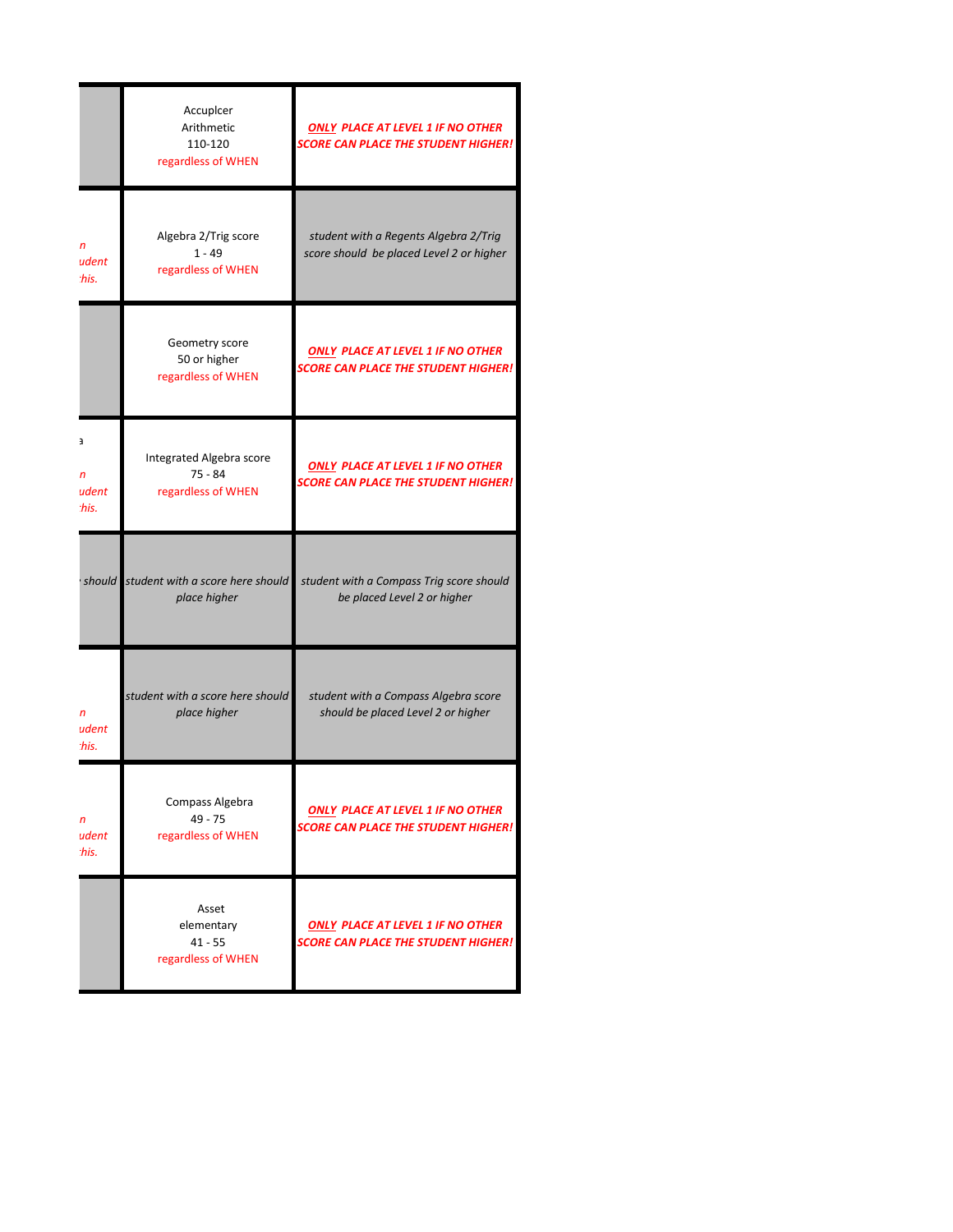|                                     | Accupicer<br>Arithmetic<br>110-120<br>regardless of WHEN    | <b>ONLY PLACE AT LEVEL 1 IF NO OTHER</b><br><b>SCORE CAN PLACE THE STUDENT HIGHER!</b> |
|-------------------------------------|-------------------------------------------------------------|----------------------------------------------------------------------------------------|
| $\mathsf{n}$<br>udent<br>this.      | Algebra 2/Trig score<br>$1 - 49$<br>regardless of WHEN      | student with a Regents Algebra 2/Trig<br>score should be placed Level 2 or higher      |
|                                     | Geometry score<br>50 or higher<br>regardless of WHEN        | <b>ONLY PLACE AT LEVEL 1 IF NO OTHER</b><br><b>SCORE CAN PLACE THE STUDENT HIGHER!</b> |
| а<br>$\mathsf{n}$<br>udent<br>this. | Integrated Algebra score<br>$75 - 84$<br>regardless of WHEN | <b>ONLY PLACE AT LEVEL 1 IF NO OTHER</b><br><b>SCORE CAN PLACE THE STUDENT HIGHER!</b> |
|                                     | should student with a score here should<br>place higher     | student with a Compass Trig score should<br>be placed Level 2 or higher                |
| $\mathsf{n}$<br>udent<br>this.      | student with a score here should<br>place higher            | student with a Compass Algebra score<br>should be placed Level 2 or higher             |
| n<br>udent<br>this.                 | Compass Algebra<br>$49 - 75$<br>regardless of WHEN          | <b>ONLY PLACE AT LEVEL 1 IF NO OTHER</b><br><b>SCORE CAN PLACE THE STUDENT HIGHER!</b> |
|                                     | Asset<br>elementary<br>$41 - 55$<br>regardless of WHEN      | <b>ONLY PLACE AT LEVEL 1 IF NO OTHER</b><br><b>SCORE CAN PLACE THE STUDENT HIGHER!</b> |